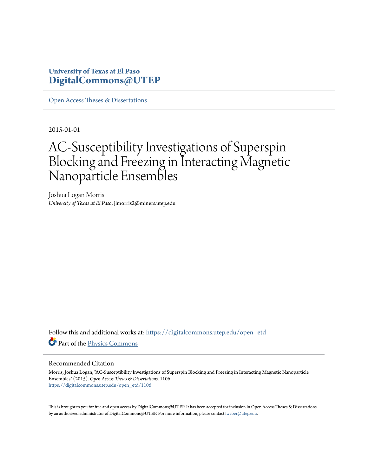## **University of Texas at El Paso [DigitalCommons@UTEP](https://digitalcommons.utep.edu/?utm_source=digitalcommons.utep.edu%2Fopen_etd%2F1106&utm_medium=PDF&utm_campaign=PDFCoverPages)**

[Open Access Theses & Dissertations](https://digitalcommons.utep.edu/open_etd?utm_source=digitalcommons.utep.edu%2Fopen_etd%2F1106&utm_medium=PDF&utm_campaign=PDFCoverPages)

2015-01-01

# AC-Susceptibility Investigations of Superspin Blocking and Freezing in Interacting Magnetic Nanoparticle Ensembles

Joshua Logan Morris *University of Texas at El Paso*, jlmorris2@miners.utep.edu

Follow this and additional works at: [https://digitalcommons.utep.edu/open\\_etd](https://digitalcommons.utep.edu/open_etd?utm_source=digitalcommons.utep.edu%2Fopen_etd%2F1106&utm_medium=PDF&utm_campaign=PDFCoverPages) Part of the [Physics Commons](http://network.bepress.com/hgg/discipline/193?utm_source=digitalcommons.utep.edu%2Fopen_etd%2F1106&utm_medium=PDF&utm_campaign=PDFCoverPages)

#### Recommended Citation

Morris, Joshua Logan, "AC-Susceptibility Investigations of Superspin Blocking and Freezing in Interacting Magnetic Nanoparticle Ensembles" (2015). *Open Access Theses & Dissertations*. 1106. [https://digitalcommons.utep.edu/open\\_etd/1106](https://digitalcommons.utep.edu/open_etd/1106?utm_source=digitalcommons.utep.edu%2Fopen_etd%2F1106&utm_medium=PDF&utm_campaign=PDFCoverPages)

This is brought to you for free and open access by DigitalCommons@UTEP. It has been accepted for inclusion in Open Access Theses & Dissertations by an authorized administrator of DigitalCommons@UTEP. For more information, please contact [lweber@utep.edu.](mailto:lweber@utep.edu)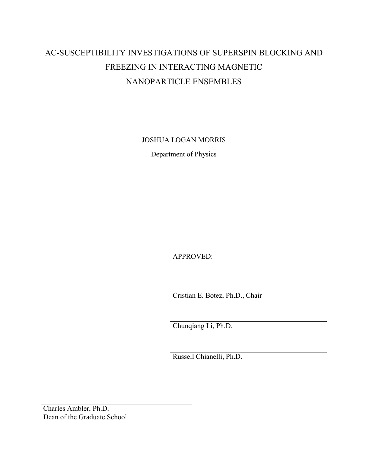# AC-SUSCEPTIBILITY INVESTIGATIONS OF SUPERSPIN BLOCKING AND FREEZING IN INTERACTING MAGNETIC NANOPARTICLE ENSEMBLES

JOSHUA LOGAN MORRIS

Department of Physics

APPROVED:

Cristian E. Botez, Ph.D., Chair

Chunqiang Li, Ph.D.

Russell Chianelli, Ph.D.

Charles Ambler, Ph.D. Dean of the Graduate School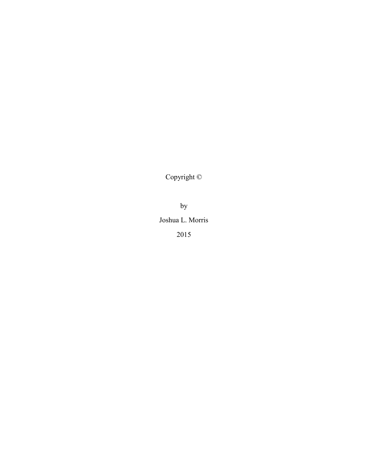Copyright ©

by

Joshua L. Morris 2015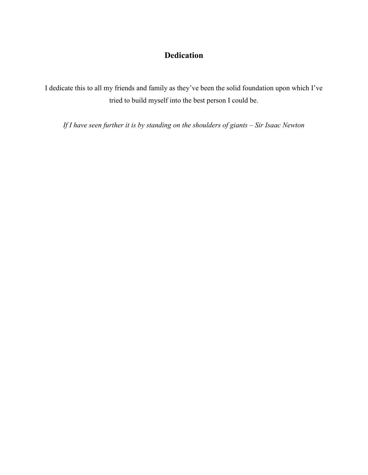# **Dedication**

I dedicate this to all my friends and family as they've been the solid foundation upon which I've tried to build myself into the best person I could be.

*If I have seen further it is by standing on the shoulders of giants – Sir Isaac Newton*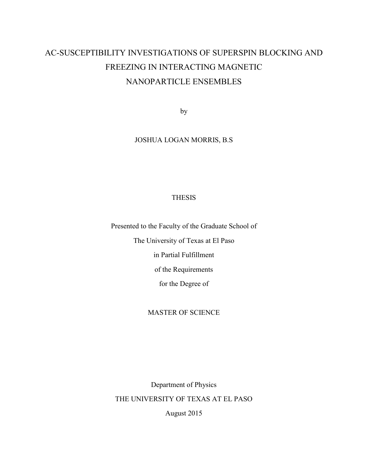# AC-SUSCEPTIBILITY INVESTIGATIONS OF SUPERSPIN BLOCKING AND FREEZING IN INTERACTING MAGNETIC NANOPARTICLE ENSEMBLES

by

### JOSHUA LOGAN MORRIS, B.S

#### THESIS

Presented to the Faculty of the Graduate School of

The University of Texas at El Paso

in Partial Fulfillment

of the Requirements

for the Degree of

#### MASTER OF SCIENCE

Department of Physics THE UNIVERSITY OF TEXAS AT EL PASO

August 2015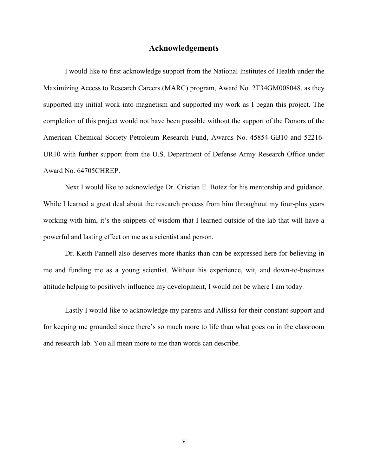#### **Acknowledgements**

<span id="page-5-0"></span>I would like to first acknowledge support from the National Institutes of Health under the Maximizing Access to Research Careers (MARC) program, Award No. 2T34GM008048, as they supported my initial work into magnetism and supported my work as I began this project. The completion of this project would not have been possible without the support of the Donors of the American Chemical Society Petroleum Research Fund, Awards No. 45854-GB10 and 52216- UR10 with further support from the U.S. Department of Defense Army Research Office under Award No. 64705CHREP.

Next I would like to acknowledge Dr. Cristian E. Botez for his mentorship and guidance. While I learned a great deal about the research process from him throughout my four-plus years working with him, it's the snippets of wisdom that I learned outside of the lab that will have a powerful and lasting effect on me as a scientist and person.

Dr. Keith Pannell also deserves more thanks than can be expressed here for believing in me and funding me as a young scientist. Without his experience, wit, and down-to-business attitude helping to positively influence my development, I would not be where I am today.

Lastly I would like to acknowledge my parents and Allissa for their constant support and for keeping me grounded since there's so much more to life than what goes on in the classroom and research lab. You all mean more to me than words can describe.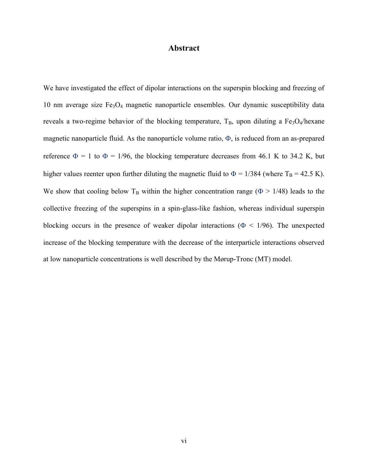### **Abstract**

<span id="page-6-1"></span><span id="page-6-0"></span>We have investigated the effect of dipolar interactions on the superspin blocking and freezing of 10 nm average size  $Fe<sub>3</sub>O<sub>4</sub>$  magnetic nanoparticle ensembles. Our dynamic susceptibility data reveals a two-regime behavior of the blocking temperature,  $T_B$ , upon diluting a Fe<sub>3</sub>O<sub>4</sub>/hexane magnetic nanoparticle fluid. As the nanoparticle volume ratio,  $\Phi$ , is reduced from an as-prepared reference  $\Phi = 1$  to  $\Phi = 1/96$ , the blocking temperature decreases from 46.1 K to 34.2 K, but higher values reenter upon further diluting the magnetic fluid to  $\Phi = 1/384$  (where T<sub>B</sub> = 42.5 K). We show that cooling below T<sub>B</sub> within the higher concentration range ( $\Phi > 1/48$ ) leads to the collective freezing of the superspins in a spin-glass-like fashion, whereas individual superspin blocking occurs in the presence of weaker dipolar interactions ( $\Phi$  < 1/96). The unexpected increase of the blocking temperature with the decrease of the interparticle interactions observed at low nanoparticle concentrations is well described by the Mørup-Tronc (MT) model.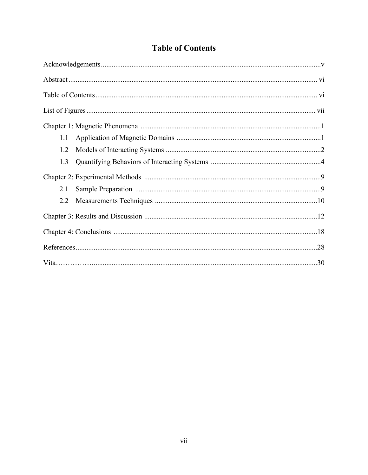|  | <b>Table of Contents</b> |
|--|--------------------------|
|  |                          |

<span id="page-7-0"></span>

| 1.1 |  |
|-----|--|
| 1.2 |  |
| 1.3 |  |
|     |  |
| 2.1 |  |
| 2.2 |  |
|     |  |
|     |  |
|     |  |
|     |  |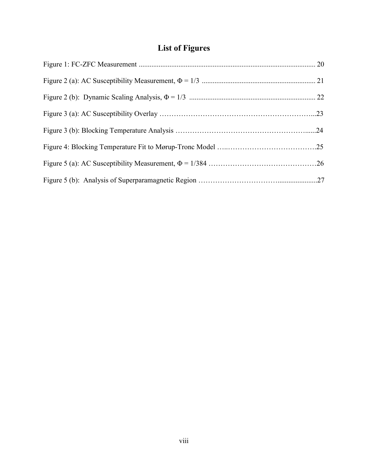# **List of Figures**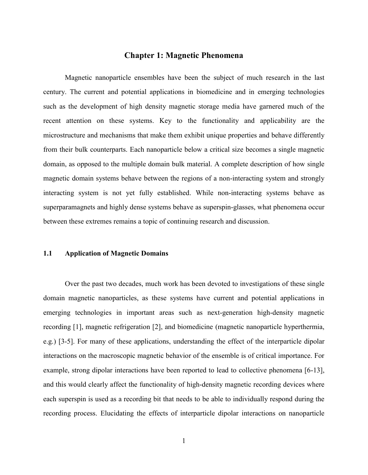#### **Chapter 1: Magnetic Phenomena**

<span id="page-9-0"></span>Magnetic nanoparticle ensembles have been the subject of much research in the last century. The current and potential applications in biomedicine and in emerging technologies such as the development of high density magnetic storage media have garnered much of the recent attention on these systems. Key to the functionality and applicability are the microstructure and mechanisms that make them exhibit unique properties and behave differently from their bulk counterparts. Each nanoparticle below a critical size becomes a single magnetic domain, as opposed to the multiple domain bulk material. A complete description of how single magnetic domain systems behave between the regions of a non-interacting system and strongly interacting system is not yet fully established. While non-interacting systems behave as superparamagnets and highly dense systems behave as superspin-glasses, what phenomena occur between these extremes remains a topic of continuing research and discussion.

#### **1.1 Application of Magnetic Domains**

Over the past two decades, much work has been devoted to investigations of these single domain magnetic nanoparticles, as these systems have current and potential applications in emerging technologies in important areas such as next-generation high-density magnetic recording [1], magnetic refrigeration [2], and biomedicine (magnetic nanoparticle hyperthermia, e.g.) [3-5]. For many of these applications, understanding the effect of the interparticle dipolar interactions on the macroscopic magnetic behavior of the ensemble is of critical importance. For example, strong dipolar interactions have been reported to lead to collective phenomena [6-13], and this would clearly affect the functionality of high-density magnetic recording devices where each superspin is used as a recording bit that needs to be able to individually respond during the recording process. Elucidating the effects of interparticle dipolar interactions on nanoparticle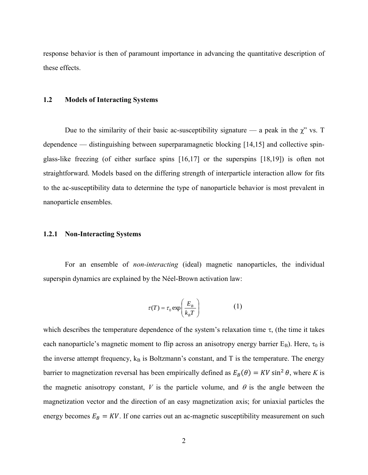response behavior is then of paramount importance in advancing the quantitative description of these effects.

#### **1.2 Models of Interacting Systems**

Due to the similarity of their basic ac-susceptibility signature — a peak in the  $\chi$ " vs. T dependence — distinguishing between superparamagnetic blocking [14,15] and collective spinglass-like freezing (of either surface spins [16,17] or the superspins [18,19]) is often not straightforward. Models based on the differing strength of interparticle interaction allow for fits to the ac-susceptibility data to determine the type of nanoparticle behavior is most prevalent in nanoparticle ensembles.

#### **1.2.1 Non-Interacting Systems**

For an ensemble of *non-interacting* (ideal) magnetic nanoparticles, the individual superspin dynamics are explained by the Néel-Brown activation law:

$$
\tau(T) = \tau_0 \exp\left(\frac{E_B}{k_B T}\right) \tag{1}
$$

which describes the temperature dependence of the system's relaxation time  $\tau$ , (the time it takes each nanoparticle's magnetic moment to flip across an anisotropy energy barrier  $E_B$ ). Here,  $\tau_0$  is the inverse attempt frequency,  $k_B$  is Boltzmann's constant, and T is the temperature. The energy barrier to magnetization reversal has been empirically defined as  $E_B(\theta) = KV \sin^2 \theta$ , where *K* is the magnetic anisotropy constant,  $V$  is the particle volume, and  $\theta$  is the angle between the magnetization vector and the direction of an easy magnetization axis; for uniaxial particles the energy becomes  $E_B = KV$ . If one carries out an ac-magnetic susceptibility measurement on such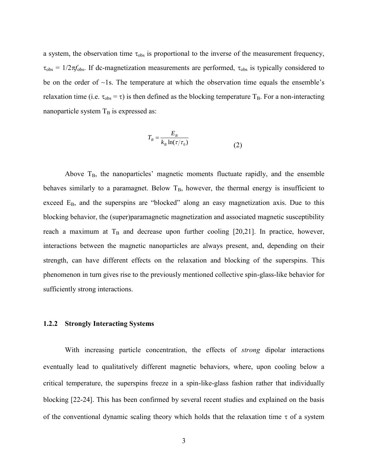a system, the observation time  $\tau_{obs}$  is proportional to the inverse of the measurement frequency,  $\tau_{obs} = 1/2\pi f_{obs}$ . If dc-magnetization measurements are performed,  $\tau_{obs}$  is typically considered to be on the order of  $\sim$ 1s. The temperature at which the observation time equals the ensemble's relaxation time (i.e.  $\tau_{obs} = \tau$ ) is then defined as the blocking temperature T<sub>B</sub>. For a non-interacting nanoparticle system  $T_B$  is expressed as:

$$
T_B = \frac{E_B}{k_B \ln(\tau/\tau_0)}\tag{2}
$$

Above  $T_B$ , the nanoparticles' magnetic moments fluctuate rapidly, and the ensemble behaves similarly to a paramagnet. Below  $T_B$ , however, the thermal energy is insufficient to exceed  $E_B$ , and the superspins are "blocked" along an easy magnetization axis. Due to this blocking behavior, the (super)paramagnetic magnetization and associated magnetic susceptibility reach a maximum at  $T_B$  and decrease upon further cooling [20,21]. In practice, however, interactions between the magnetic nanoparticles are always present, and, depending on their strength, can have different effects on the relaxation and blocking of the superspins. This phenomenon in turn gives rise to the previously mentioned collective spin-glass-like behavior for sufficiently strong interactions.

#### <span id="page-11-0"></span>**1.2.2 Strongly Interacting Systems**

With increasing particle concentration, the effects of *strong* dipolar interactions eventually lead to qualitatively different magnetic behaviors, where, upon cooling below a critical temperature, the superspins freeze in a spin-like-glass fashion rather that individually blocking [22-24]. This has been confirmed by several recent studies and explained on the basis of the conventional dynamic scaling theory which holds that the relaxation time  $\tau$  of a system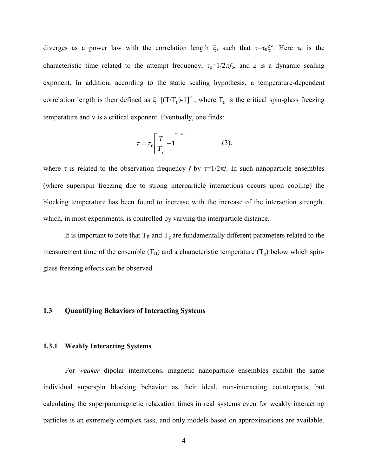diverges as a power law with the correlation length  $\xi$ , such that  $\tau = \tau_0 \xi^z$ . Here  $\tau_0$  is the characteristic time related to the attempt frequency,  $\tau_0=1/2\pi f_0$ , and *z* is a dynamic scaling exponent. In addition, according to the static scaling hypothesis, a temperature-dependent correlation length is then defined as  $\xi = [(T/T_g)-1]^{\nu}$ , where  $T_g$  is the critical spin-glass freezing temperature and  $\nu$  is a critical exponent. Eventually, one finds:

$$
\tau = \tau_0 \left[ \frac{T}{T_s} - 1 \right]^{-z \nu} \tag{3}.
$$

where  $\tau$  is related to the observation frequency *f* by  $\tau=1/2\pi f$ . In such nanoparticle ensembles (where superspin freezing due to strong interparticle interactions occurs upon cooling) the blocking temperature has been found to increase with the increase of the interaction strength, which, in most experiments, is controlled by varying the interparticle distance.

It is important to note that  $T_B$  and  $T_g$  are fundamentally different parameters related to the measurement time of the ensemble  $(T_B)$  and a characteristic temperature  $(T<sub>s</sub>)$  below which spinglass freezing effects can be observed.

#### **1.3 Quantifying Behaviors of Interacting Systems**

#### **1.3.1 Weakly Interacting Systems**

For *weaker* dipolar interactions, magnetic nanoparticle ensembles exhibit the same individual superspin blocking behavior as their ideal, non-interacting counterparts, but calculating the superparamagnetic relaxation times in real systems even for weakly interacting particles is an extremely complex task, and only models based on approximations are available.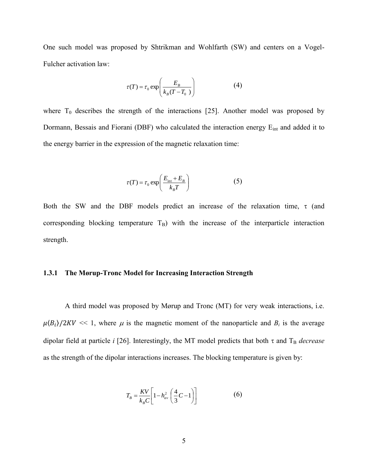One such model was proposed by Shtrikman and Wohlfarth (SW) and centers on a Vogel-Fulcher activation law:

$$
\tau(T) = \tau_0 \exp\left(\frac{E_B}{k_B(T - T_0)}\right) \tag{4}
$$

where  $T_0$  describes the strength of the interactions [25]. Another model was proposed by Dormann, Bessais and Fiorani (DBF) who calculated the interaction energy E<sub>int</sub> and added it to the energy barrier in the expression of the magnetic relaxation time:

$$
\tau(T) = \tau_0 \exp\left(\frac{E_{\text{int}} + E_B}{k_B T}\right) \tag{5}
$$

Both the SW and the DBF models predict an increase of the relaxation time,  $\tau$  (and corresponding blocking temperature  $T_B$ ) with the increase of the interparticle interaction strength.

#### **1.3.1 The Mørup-Tronc Model for Increasing Interaction Strength**

A third model was proposed by Mørup and Tronc (MT) for very weak interactions, i.e.  $\mu \langle B_i \rangle / 2KV \ll 1$ , where  $\mu$  is the magnetic moment of the nanoparticle and  $B_i$  is the average dipolar field at particle *i* [26]. Interestingly, the MT model predicts that both  $\tau$  and  $T_B$  *decrease* as the strength of the dipolar interactions increases. The blocking temperature is given by:

$$
T_B = \frac{KV}{k_B C} \left[ 1 - h_{av}^2 \left( \frac{4}{3} C - 1 \right) \right]
$$
 (6)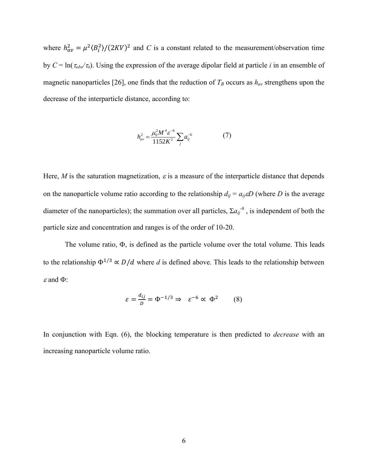where  $h_{av}^2 = \mu^2 \langle B_i^2 \rangle / (2KV)^2$  and *C* is a constant related to the measurement/observation time by  $C = \ln(\tau_{obs}/\tau_0)$ . Using the expression of the average dipolar field at particle *i* in an ensemble of magnetic nanoparticles [26], one finds that the reduction of  $T_B$  occurs as  $h_{av}$  strengthens upon the decrease of the interparticle distance, according to:

$$
h_{av}^2 = \frac{\mu_0^2 M^4 \varepsilon^{-6}}{1152K^2} \sum_j a_{ij}^{-6}
$$
 (7)

Here, *M* is the saturation magnetization,  $\varepsilon$  is a measure of the interparticle distance that depends on the nanoparticle volume ratio according to the relationship  $d_{ij} = a_{ij} \epsilon D$  (where *D* is the average diameter of the nanoparticles); the summation over all particles,  $\Sigma a_{ij}^{\phantom{ij} \phantom{j} \phantom{j} \phantom{j} }$  is independent of both the particle size and concentration and ranges is of the order of 10-20.

The volume ratio,  $\Phi$ , is defined as the particle volume over the total volume. This leads to the relationship  $\Phi^{1/3} \propto D/d$  where *d* is defined above. This leads to the relationship between  $\varepsilon$  and  $\Phi$ :

$$
\varepsilon = \frac{d_{ij}}{D} = \Phi^{-1/3} \Rightarrow \varepsilon^{-6} \propto \Phi^2 \qquad (8)
$$

In conjunction with Eqn. (6), the blocking temperature is then predicted to *decrease* with an increasing nanoparticle volume ratio.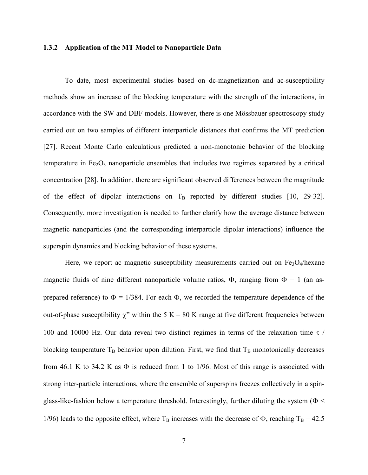#### **1.3.2 Application of the MT Model to Nanoparticle Data**

To date, most experimental studies based on dc-magnetization and ac-susceptibility methods show an increase of the blocking temperature with the strength of the interactions, in accordance with the SW and DBF models. However, there is one Mössbauer spectroscopy study carried out on two samples of different interparticle distances that confirms the MT prediction [27]. Recent Monte Carlo calculations predicted a non-monotonic behavior of the blocking temperature in  $Fe<sub>2</sub>O<sub>3</sub>$  nanoparticle ensembles that includes two regimes separated by a critical concentration [28]. In addition, there are significant observed differences between the magnitude of the effect of dipolar interactions on  $T_B$  reported by different studies [10, 29-32]. Consequently, more investigation is needed to further clarify how the average distance between magnetic nanoparticles (and the corresponding interparticle dipolar interactions) influence the superspin dynamics and blocking behavior of these systems.

Here, we report ac magnetic susceptibility measurements carried out on  $Fe<sub>3</sub>O<sub>4</sub>/hex$ ane magnetic fluids of nine different nanoparticle volume ratios,  $\Phi$ , ranging from  $\Phi = 1$  (an asprepared reference) to  $\Phi = 1/384$ . For each  $\Phi$ , we recorded the temperature dependence of the out-of-phase susceptibility  $\chi$ " within the 5 K – 80 K range at five different frequencies between 100 and 10000 Hz. Our data reveal two distinct regimes in terms of the relaxation time  $\tau$  / blocking temperature  $T_B$  behavior upon dilution. First, we find that  $T_B$  monotonically decreases from 46.1 K to 34.2 K as  $\Phi$  is reduced from 1 to 1/96. Most of this range is associated with strong inter-particle interactions, where the ensemble of superspins freezes collectively in a spinglass-like-fashion below a temperature threshold. Interestingly, further diluting the system ( $\Phi$  < 1/96) leads to the opposite effect, where  $T_B$  increases with the decrease of  $\Phi$ , reaching  $T_B = 42.5$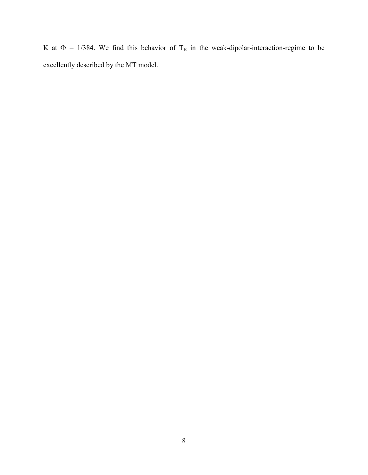K at  $\Phi = 1/384$ . We find this behavior of T<sub>B</sub> in the weak-dipolar-interaction-regime to be excellently described by the MT model.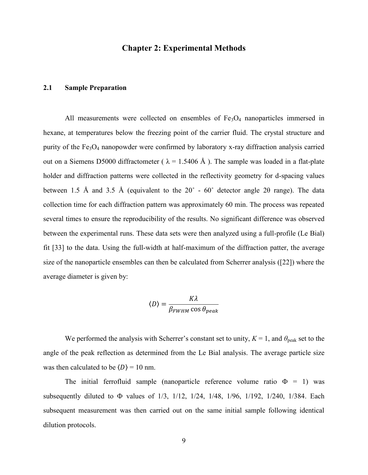#### **Chapter 2: Experimental Methods**

#### <span id="page-17-0"></span>**2.1 Sample Preparation**

All measurements were collected on ensembles of  $Fe<sub>3</sub>O<sub>4</sub>$  nanoparticles immersed in hexane, at temperatures below the freezing point of the carrier fluid. The crystal structure and purity of the Fe<sub>3</sub>O<sub>4</sub> nanopowder were confirmed by laboratory x-ray diffraction analysis carried out on a Siemens D5000 diffractometer ( $\lambda = 1.5406$  Å). The sample was loaded in a flat-plate holder and diffraction patterns were collected in the reflectivity geometry for d-spacing values between 1.5 Å and 3.5 Å (equivalent to the 20˚ - 60˚ detector angle 2θ range). The data collection time for each diffraction pattern was approximately 60 min. The process was repeated several times to ensure the reproducibility of the results. No significant difference was observed between the experimental runs. These data sets were then analyzed using a full-profile (Le Bial) fit [33] to the data. Using the full-width at half-maximum of the diffraction patter, the average size of the nanoparticle ensembles can then be calculated from Scherrer analysis ([22]) where the average diameter is given by:

$$
\langle D \rangle = \frac{K\lambda}{\beta_{FWHM} \cos \theta_{peak}}
$$

We performed the analysis with Scherrer's constant set to unity,  $K = 1$ , and  $\theta_{\text{peak}}$  set to the angle of the peak reflection as determined from the Le Bial analysis. The average particle size was then calculated to be  $\langle D \rangle = 10$  nm.

The initial ferrofluid sample (nanoparticle reference volume ratio  $\Phi = 1$ ) was subsequently diluted to  $\Phi$  values of 1/3, 1/12, 1/24, 1/48, 1/96, 1/192, 1/240, 1/384. Each subsequent measurement was then carried out on the same initial sample following identical dilution protocols.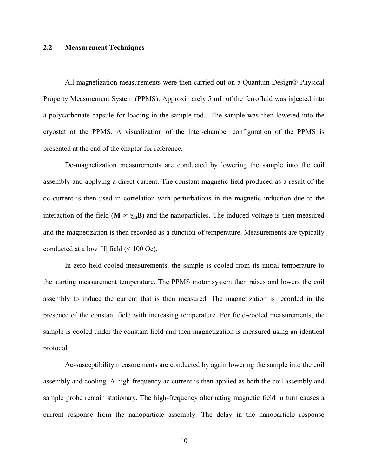#### <span id="page-18-0"></span>**2.2 Measurement Techniques**

All magnetization measurements were then carried out on a Quantum Design® Physical Property Measurement System (PPMS). Approximately 5 mL of the ferrofluid was injected into a polycarbonate capsule for loading in the sample rod. The sample was then lowered into the cryostat of the PPMS. A visualization of the inter-chamber configuration of the PPMS is presented at the end of the chapter for reference.

Dc-magnetization measurements are conducted by lowering the sample into the coil assembly and applying a direct current. The constant magnetic field produced as a result of the dc current is then used in correlation with perturbations in the magnetic induction due to the interaction of the field ( $\mathbf{M} \propto \chi_m \mathbf{B}$ ) and the nanoparticles. The induced voltage is then measured and the magnetization is then recorded as a function of temperature. Measurements are typically conducted at a low |H| field (< 100 Oe).

In zero-field-cooled measurements, the sample is cooled from its initial temperature to the starting measurement temperature. The PPMS motor system then raises and lowers the coil assembly to induce the current that is then measured. The magnetization is recorded in the presence of the constant field with increasing temperature. For field-cooled measurements, the sample is cooled under the constant field and then magnetization is measured using an identical protocol.

Ac-susceptibility measurements are conducted by again lowering the sample into the coil assembly and cooling. A high-frequency ac current is then applied as both the coil assembly and sample probe remain stationary. The high-frequency alternating magnetic field in turn causes a current response from the nanoparticle assembly. The delay in the nanoparticle response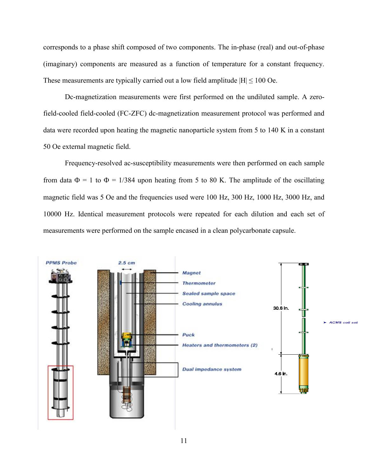corresponds to a phase shift composed of two components. The in-phase (real) and out-of-phase (imaginary) components are measured as a function of temperature for a constant frequency. These measurements are typically carried out a low field amplitude  $|H| \le 100$  Oe.

Dc-magnetization measurements were first performed on the undiluted sample. A zerofield-cooled field-cooled (FC-ZFC) dc-magnetization measurement protocol was performed and data were recorded upon heating the magnetic nanoparticle system from 5 to 140 K in a constant 50 Oe external magnetic field.

Frequency-resolved ac-susceptibility measurements were then performed on each sample from data  $\Phi = 1$  to  $\Phi = 1/384$  upon heating from 5 to 80 K. The amplitude of the oscillating magnetic field was 5 Oe and the frequencies used were 100 Hz, 300 Hz, 1000 Hz, 3000 Hz, and 10000 Hz. Identical measurement protocols were repeated for each dilution and each set of measurements were performed on the sample encased in a clean polycarbonate capsule.

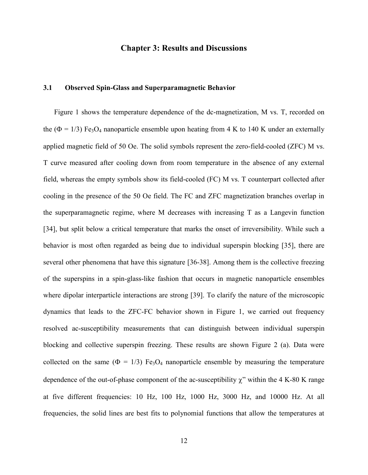#### **Chapter 3: Results and Discussions**

#### **3.1 Observed Spin-Glass and Superparamagnetic Behavior**

Figure 1 shows the temperature dependence of the dc-magnetization, M vs. T, recorded on the ( $\Phi = 1/3$ ) Fe<sub>3</sub>O<sub>4</sub> nanoparticle ensemble upon heating from 4 K to 140 K under an externally applied magnetic field of 50 Oe. The solid symbols represent the zero-field-cooled (ZFC) M vs. T curve measured after cooling down from room temperature in the absence of any external field, whereas the empty symbols show its field-cooled (FC) M vs. T counterpart collected after cooling in the presence of the 50 Oe field. The FC and ZFC magnetization branches overlap in the superparamagnetic regime, where M decreases with increasing T as a Langevin function [34], but split below a critical temperature that marks the onset of irreversibility. While such a behavior is most often regarded as being due to individual superspin blocking [35], there are several other phenomena that have this signature [36-38]. Among them is the collective freezing of the superspins in a spin-glass-like fashion that occurs in magnetic nanoparticle ensembles where dipolar interparticle interactions are strong [39]. To clarify the nature of the microscopic dynamics that leads to the ZFC-FC behavior shown in Figure 1, we carried out frequency resolved ac-susceptibility measurements that can distinguish between individual superspin blocking and collective superspin freezing. These results are shown Figure 2 (a). Data were collected on the same ( $\Phi = 1/3$ ) Fe<sub>3</sub>O<sub>4</sub> nanoparticle ensemble by measuring the temperature dependence of the out-of-phase component of the ac-susceptibility  $\gamma$ " within the 4 K-80 K range at five different frequencies: 10 Hz, 100 Hz, 1000 Hz, 3000 Hz, and 10000 Hz. At all frequencies, the solid lines are best fits to polynomial functions that allow the temperatures at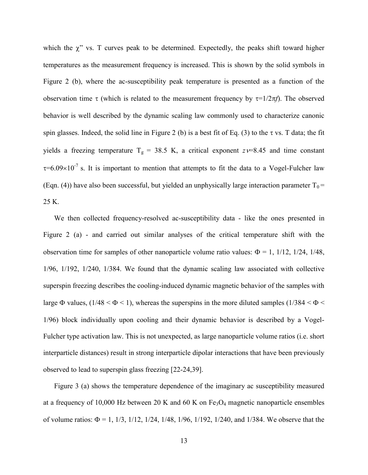which the  $\chi$ " vs. T curves peak to be determined. Expectedly, the peaks shift toward higher temperatures as the measurement frequency is increased. This is shown by the solid symbols in Figure 2 (b), where the ac-susceptibility peak temperature is presented as a function of the observation time  $\tau$  (which is related to the measurement frequency by  $\tau=1/2\pi f$ ). The observed behavior is well described by the dynamic scaling law commonly used to characterize canonic spin glasses. Indeed, the solid line in Figure 2 (b) is a best fit of Eq. (3) to the  $\tau$  vs. T data; the fit yields a freezing temperature  $T_g = 38.5$  K, a critical exponent  $z=8.45$  and time constant  $\tau$ =6.09×10<sup>-7</sup> s. It is important to mention that attempts to fit the data to a Vogel-Fulcher law (Eqn. (4)) have also been successful, but yielded an unphysically large interaction parameter  $T_0$  = 25 K.

We then collected frequency-resolved ac-susceptibility data - like the ones presented in Figure 2 (a) - and carried out similar analyses of the critical temperature shift with the observation time for samples of other nanoparticle volume ratio values:  $\Phi = 1$ , 1/12, 1/24, 1/48, 1/96, 1/192, 1/240, 1/384. We found that the dynamic scaling law associated with collective superspin freezing describes the cooling-induced dynamic magnetic behavior of the samples with large  $\Phi$  values, (1/48 <  $\Phi$  < 1), whereas the superspins in the more diluted samples (1/384 <  $\Phi$  < 1/96) block individually upon cooling and their dynamic behavior is described by a Vogel-Fulcher type activation law. This is not unexpected, as large nanoparticle volume ratios (i.e. short interparticle distances) result in strong interparticle dipolar interactions that have been previously observed to lead to superspin glass freezing [22-24,39].

Figure 3 (a) shows the temperature dependence of the imaginary ac susceptibility measured at a frequency of 10,000 Hz between 20 K and 60 K on  $Fe<sub>3</sub>O<sub>4</sub>$  magnetic nanoparticle ensembles of volume ratios:  $\Phi = 1, 1/3, 1/12, 1/24, 1/48, 1/96, 1/192, 1/240,$  and 1/384. We observe that the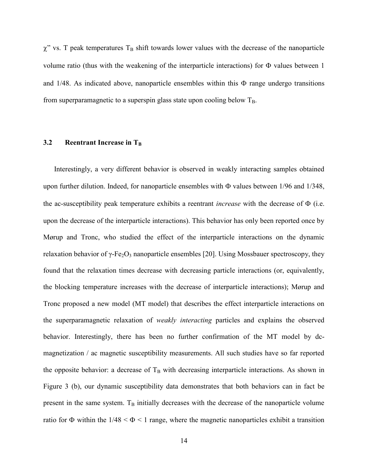$\chi$ " vs. T peak temperatures T<sub>B</sub> shift towards lower values with the decrease of the nanoparticle volume ratio (thus with the weakening of the interparticle interactions) for  $\Phi$  values between 1 and  $1/48$ . As indicated above, nanoparticle ensembles within this  $\Phi$  range undergo transitions from superparamagnetic to a superspin glass state upon cooling below  $T_B$ .

#### **3.2 Reentrant Increase in T<sub>B</sub>**

Interestingly, a very different behavior is observed in weakly interacting samples obtained upon further dilution. Indeed, for nanoparticle ensembles with  $\Phi$  values between 1/96 and 1/348, the ac-susceptibility peak temperature exhibits a reentrant *increase* with the decrease of  $\Phi$  (i.e. upon the decrease of the interparticle interactions). This behavior has only been reported once by Mørup and Tronc, who studied the effect of the interparticle interactions on the dynamic relaxation behavior of γ-Fe<sub>2</sub>O<sub>3</sub> nanoparticle ensembles [20]. Using Mossbauer spectroscopy, they found that the relaxation times decrease with decreasing particle interactions (or, equivalently, the blocking temperature increases with the decrease of interparticle interactions); Mørup and Tronc proposed a new model (MT model) that describes the effect interparticle interactions on the superparamagnetic relaxation of *weakly interacting* particles and explains the observed behavior. Interestingly, there has been no further confirmation of the MT model by dcmagnetization / ac magnetic susceptibility measurements. All such studies have so far reported the opposite behavior: a decrease of  $T_B$  with decreasing interparticle interactions. As shown in Figure 3 (b), our dynamic susceptibility data demonstrates that both behaviors can in fact be present in the same system.  $T_B$  initially decreases with the decrease of the nanoparticle volume ratio for  $\Phi$  within the 1/48 <  $\Phi$  < 1 range, where the magnetic nanoparticles exhibit a transition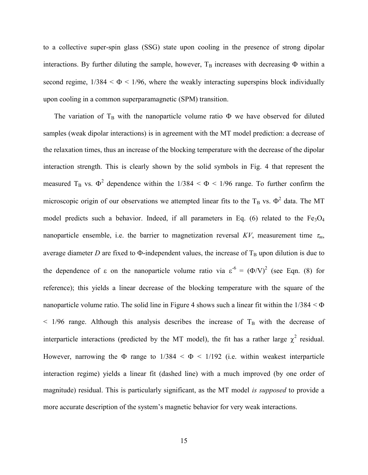to a collective super-spin glass (SSG) state upon cooling in the presence of strong dipolar interactions. By further diluting the sample, however,  $T_B$  increases with decreasing  $\Phi$  within a second regime,  $1/384 < \Phi < 1/96$ , where the weakly interacting superspins block individually upon cooling in a common superparamagnetic (SPM) transition.

The variation of  $T_B$  with the nanoparticle volume ratio  $\Phi$  we have observed for diluted samples (weak dipolar interactions) is in agreement with the MT model prediction: a decrease of the relaxation times, thus an increase of the blocking temperature with the decrease of the dipolar interaction strength. This is clearly shown by the solid symbols in Fig. 4 that represent the measured T<sub>B</sub> vs.  $\Phi^2$  dependence within the 1/384 <  $\Phi$  < 1/96 range. To further confirm the microscopic origin of our observations we attempted linear fits to the  $T_B$  vs.  $\Phi^2$  data. The MT model predicts such a behavior. Indeed, if all parameters in Eq. (6) related to the  $Fe<sub>3</sub>O<sub>4</sub>$ nanoparticle ensemble, i.e. the barrier to magnetization reversal  $KV$ , measurement time  $\tau_m$ , average diameter *D* are fixed to  $\Phi$ -independent values, the increase of  $T_B$  upon dilution is due to the dependence of  $\varepsilon$  on the nanoparticle volume ratio via  $\varepsilon^6 = (\Phi/V)^2$  (see Eqn. (8) for reference); this yields a linear decrease of the blocking temperature with the square of the nanoparticle volume ratio. The solid line in Figure 4 shows such a linear fit within the  $1/384 < \Phi$  $<$  1/96 range. Although this analysis describes the increase of T<sub>B</sub> with the decrease of interparticle interactions (predicted by the MT model), the fit has a rather large  $\chi^2$  residual. However, narrowing the  $\Phi$  range to  $1/384 < \Phi < 1/192$  (i.e. within weakest interparticle interaction regime) yields a linear fit (dashed line) with a much improved (by one order of magnitude) residual. This is particularly significant, as the MT model *is supposed* to provide a more accurate description of the system's magnetic behavior for very weak interactions.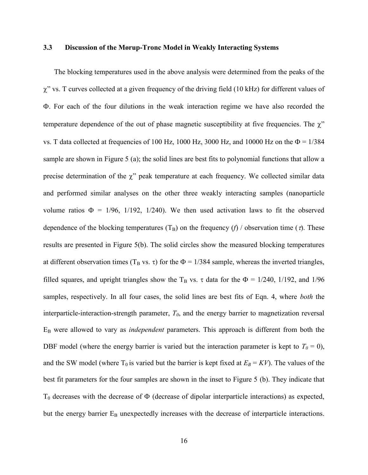#### **3.3 Discussion of the Mørup-Tronc Model in Weakly Interacting Systems**

The blocking temperatures used in the above analysis were determined from the peaks of the  $\chi$ " vs. T curves collected at a given frequency of the driving field (10 kHz) for different values of . For each of the four dilutions in the weak interaction regime we have also recorded the temperature dependence of the out of phase magnetic susceptibility at five frequencies. The  $\chi$ " vs. T data collected at frequencies of 100 Hz, 1000 Hz, 3000 Hz, and 10000 Hz on the  $\Phi = 1/384$ sample are shown in Figure 5 (a); the solid lines are best fits to polynomial functions that allow a precise determination of the  $\chi$ " peak temperature at each frequency. We collected similar data and performed similar analyses on the other three weakly interacting samples (nanoparticle volume ratios  $\Phi = 1/96$ , 1/192, 1/240). We then used activation laws to fit the observed dependence of the blocking temperatures  $(T_B)$  on the frequency (*f*) / observation time ( $\tau$ ). These results are presented in Figure 5(b). The solid circles show the measured blocking temperatures at different observation times ( $T_B$  vs.  $\tau$ ) for the  $\Phi = 1/384$  sample, whereas the inverted triangles, filled squares, and upright triangles show the  $T_B$  vs.  $\tau$  data for the  $\Phi = 1/240$ , 1/192, and 1/96 samples, respectively. In all four cases, the solid lines are best fits of Eqn. 4, where *both* the interparticle-interaction-strength parameter, *T0*, and the energy barrier to magnetization reversal E<sup>B</sup> were allowed to vary as *independent* parameters. This approach is different from both the DBF model (where the energy barrier is varied but the interaction parameter is kept to  $T_0 = 0$ ), and the SW model (where  $T_0$  is varied but the barrier is kept fixed at  $E_B = KV$ ). The values of the best fit parameters for the four samples are shown in the inset to Figure 5 (b). They indicate that  $T_0$  decreases with the decrease of  $\Phi$  (decrease of dipolar interparticle interactions) as expected, but the energy barrier  $E_B$  unexpectedly increases with the decrease of interparticle interactions.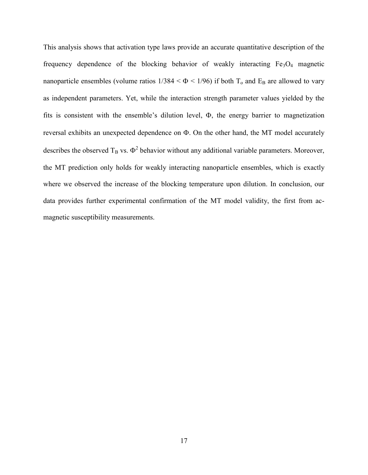This analysis shows that activation type laws provide an accurate quantitative description of the frequency dependence of the blocking behavior of weakly interacting  $Fe<sub>3</sub>O<sub>4</sub>$  magnetic nanoparticle ensembles (volume ratios  $1/384 < \Phi < 1/96$ ) if both T<sub>o</sub> and E<sub>B</sub> are allowed to vary as independent parameters. Yet, while the interaction strength parameter values yielded by the fits is consistent with the ensemble's dilution level,  $\Phi$ , the energy barrier to magnetization reversal exhibits an unexpected dependence on  $\Phi$ . On the other hand, the MT model accurately describes the observed  $T_B$  vs.  $\Phi^2$  behavior without any additional variable parameters. Moreover, the MT prediction only holds for weakly interacting nanoparticle ensembles, which is exactly where we observed the increase of the blocking temperature upon dilution. In conclusion, our data provides further experimental confirmation of the MT model validity, the first from acmagnetic susceptibility measurements.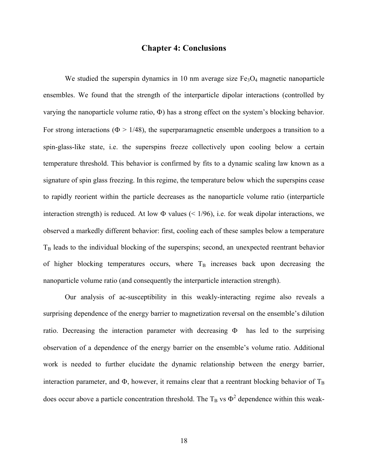#### **Chapter 4: Conclusions**

We studied the superspin dynamics in 10 nm average size  $Fe<sub>3</sub>O<sub>4</sub>$  magnetic nanoparticle ensembles. We found that the strength of the interparticle dipolar interactions (controlled by varying the nanoparticle volume ratio,  $\Phi$ ) has a strong effect on the system's blocking behavior. For strong interactions ( $\Phi > 1/48$ ), the superparamagnetic ensemble undergoes a transition to a spin-glass-like state, i.e. the superspins freeze collectively upon cooling below a certain temperature threshold. This behavior is confirmed by fits to a dynamic scaling law known as a signature of spin glass freezing. In this regime, the temperature below which the superspins cease to rapidly reorient within the particle decreases as the nanoparticle volume ratio (interparticle interaction strength) is reduced. At low  $\Phi$  values (< 1/96), i.e. for weak dipolar interactions, we observed a markedly different behavior: first, cooling each of these samples below a temperature  $T_B$  leads to the individual blocking of the superspins; second, an unexpected reentrant behavior of higher blocking temperatures occurs, where  $T_B$  increases back upon decreasing the nanoparticle volume ratio (and consequently the interparticle interaction strength).

Our analysis of ac-susceptibility in this weakly-interacting regime also reveals a surprising dependence of the energy barrier to magnetization reversal on the ensemble's dilution ratio. Decreasing the interaction parameter with decreasing  $\Phi$  has led to the surprising observation of a dependence of the energy barrier on the ensemble's volume ratio. Additional work is needed to further elucidate the dynamic relationship between the energy barrier, interaction parameter, and  $\Phi$ , however, it remains clear that a reentrant blocking behavior of  $T_B$ does occur above a particle concentration threshold. The  $T_B$  vs  $\Phi^2$  dependence within this weak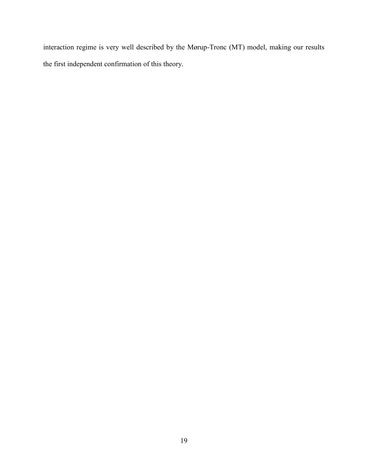interaction regime is very well described by the Mørup-Tronc (MT) model, making our results the first independent confirmation of this theory.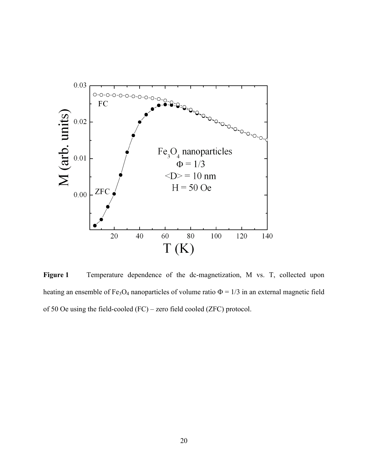

**Figure 1** Temperature dependence of the dc-magnetization, M vs. T, collected upon heating an ensemble of Fe<sub>3</sub>O<sub>4</sub> nanoparticles of volume ratio  $\Phi = 1/3$  in an external magnetic field of 50 Oe using the field-cooled (FC) – zero field cooled (ZFC) protocol.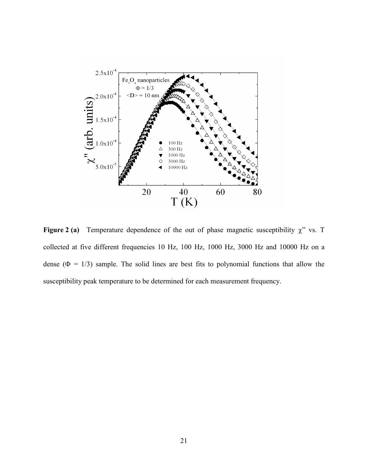

Figure 2 (a) Temperature dependence of the out of phase magnetic susceptibility  $\chi$ " vs. T collected at five different frequencies 10 Hz, 100 Hz, 1000 Hz, 3000 Hz and 10000 Hz on a dense ( $\Phi = 1/3$ ) sample. The solid lines are best fits to polynomial functions that allow the susceptibility peak temperature to be determined for each measurement frequency.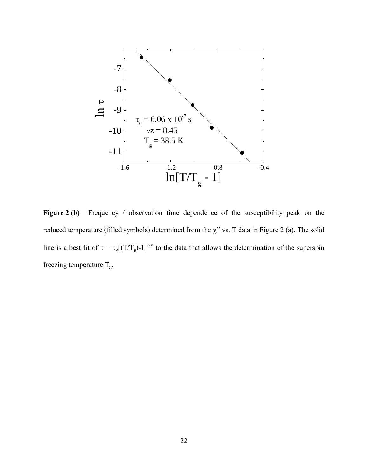

Figure 2 (b) Frequency / observation time dependence of the susceptibility peak on the reduced temperature (filled symbols) determined from the  $\chi$ " vs. T data in Figure 2 (a). The solid line is a best fit of  $\tau = \tau_0[(T/T_g)-1]^{-zV}$  to the data that allows the determination of the superspin freezing temperature  $\rm T_g.$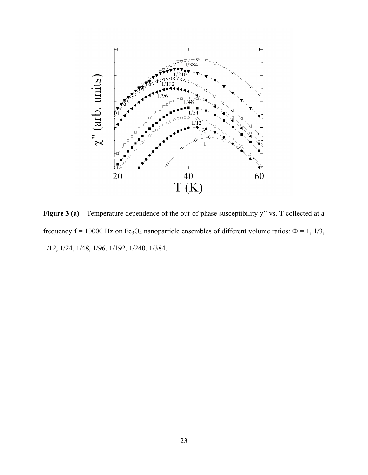

**Figure 3 (a)** Temperature dependence of the out-of-phase susceptibility  $\chi$ " vs. T collected at a frequency f = 10000 Hz on Fe<sub>3</sub>O<sub>4</sub> nanoparticle ensembles of different volume ratios:  $\Phi$  = 1, 1/3, 1/12, 1/24, 1/48, 1/96, 1/192, 1/240, 1/384.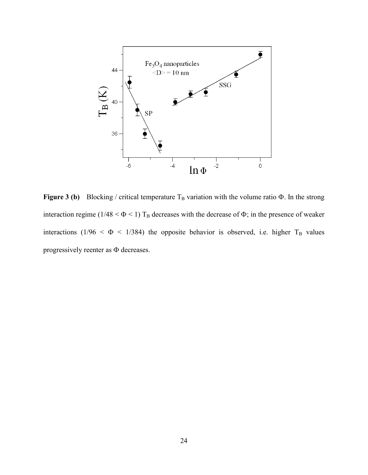

**Figure 3 (b)** Blocking / critical temperature  $T_B$  variation with the volume ratio  $\Phi$ . In the strong interaction regime (1/48 <  $\Phi$  < 1) T<sub>B</sub> decreases with the decrease of  $\Phi$ ; in the presence of weaker interactions (1/96 <  $\Phi$  < 1/384) the opposite behavior is observed, i.e. higher T<sub>B</sub> values progressively reenter as  $\Phi$  decreases.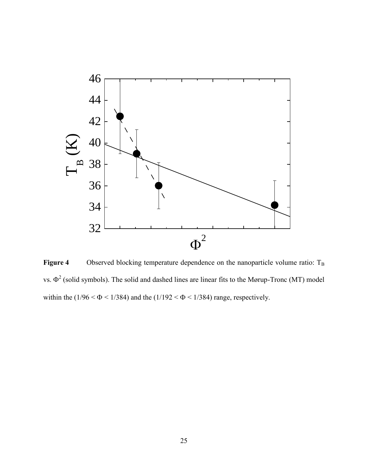

Figure 4 Observed blocking temperature dependence on the nanoparticle volume ratio: T<sub>B</sub> vs.  $\Phi^2$  (solid symbols). The solid and dashed lines are linear fits to the Mørup-Tronc (MT) model within the ( $1/96 < \Phi < 1/384$ ) and the ( $1/192 < \Phi < 1/384$ ) range, respectively.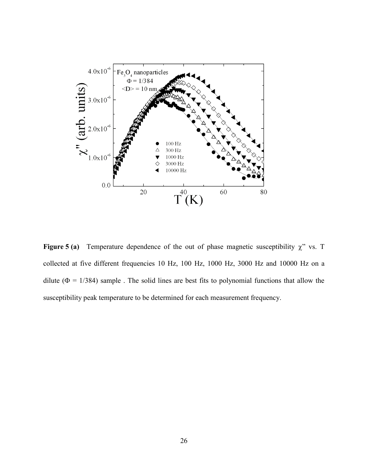

**Figure 5 (a)** Temperature dependence of the out of phase magnetic susceptibility  $\chi$ " vs. T collected at five different frequencies 10 Hz, 100 Hz, 1000 Hz, 3000 Hz and 10000 Hz on a dilute ( $\Phi = 1/384$ ) sample. The solid lines are best fits to polynomial functions that allow the susceptibility peak temperature to be determined for each measurement frequency.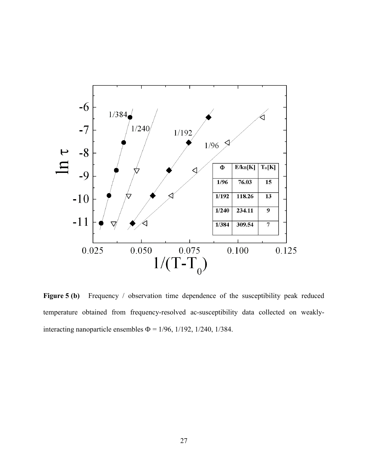

**Figure 5 (b)** Frequency / observation time dependence of the susceptibility peak reduced temperature obtained from frequency-resolved ac-susceptibility data collected on weaklyinteracting nanoparticle ensembles  $\Phi$  = 1/96, 1/192, 1/240, 1/384.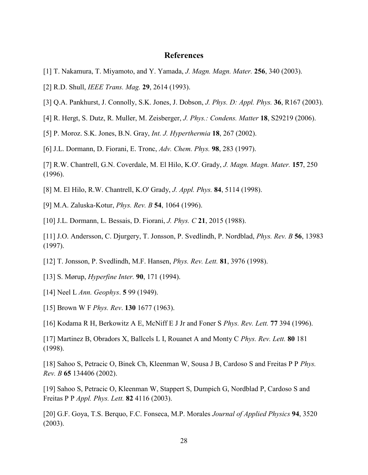### **References**

- <span id="page-36-0"></span>[1] T. Nakamura, T. Miyamoto, and Y. Yamada, *J. Magn. Magn. Mater.* **256**, 340 (2003).
- [2] R.D. Shull, *IEEE Trans. Mag.* **29**, 2614 (1993).
- [3] Q.A. Pankhurst, J. Connolly, S.K. Jones, J. Dobson, *J. Phys. D: Appl. Phys.* **36**, R167 (2003).
- [4] R. Hergt, S. Dutz, R. Muller, M. Zeisberger, *J. Phys.: Condens. Matter* **18**, S29219 (2006).
- [5] P. Moroz. S.K. Jones, B.N. Gray, *Int. J. Hyperthermia* **18**, 267 (2002).
- [6] J.L. Dormann, D. Fiorani, E. Tronc, *Adv. Chem. Phys.* **98**, 283 (1997).
- [7] R.W. Chantrell, G.N. Coverdale, M. El Hilo, K.O'. Grady, *J. Magn. Magn. Mater.* **157**, 250 (1996).
- [8] M. El Hilo, R.W. Chantrell, K.O' Grady, *J. Appl. Phys.* **84**, 5114 (1998).
- [9] M.A. Zaluska-Kotur, *Phys. Rev. B* **54**, 1064 (1996).

[10] J.L. Dormann, L. Bessais, D. Fiorani, *J. Phys. C* **21**, 2015 (1988).

- [11] J.O. Andersson, C. Djurgery, T. Jonsson, P. Svedlindh, P. Nordblad, *Phys. Rev. B* **56**, 13983 (1997).
- [12] T. Jonsson, P. Svedlindh, M.F. Hansen, *Phys. Rev. Lett.* **81**, 3976 (1998).
- [13] S. Mørup, *Hyperfine Inter.* **90**, 171 (1994).
- [14] Neel L *Ann. Geophys*. **5** 99 (1949).
- [15] Brown W F *Phys. Rev*. **130** 1677 (1963).
- [16] Kodama R H, Berkowitz A E, McNiff E J Jr and Foner S *Phys. Rev. Lett.* **77** 394 (1996).

[17] Martinez B, Obradors X, Ballcels L I, Rouanet A and Monty C *Phys. Rev. Lett.* **80** 181 (1998).

[18] Sahoo S, Petracic O, Binek Ch, Kleenman W, Sousa J B, Cardoso S and Freitas P P *Phys. Rev. B* **65** 134406 (2002).

[19] Sahoo S, Petracic O, Kleenman W, Stappert S, Dumpich G, Nordblad P, Cardoso S and Freitas P P *Appl. Phys. Lett.* **82** 4116 (2003).

[20] G.F. Goya, T.S. Berquo, F.C. Fonseca, M.P. Morales *Journal of Applied Physics* **94**, 3520 (2003).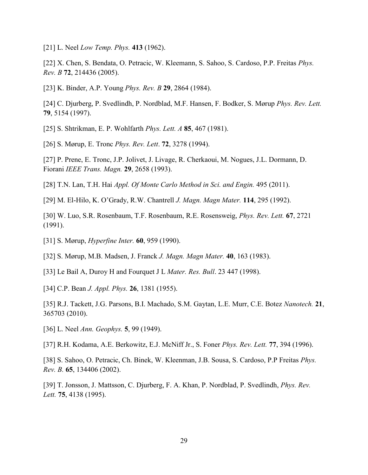[21] L. Neel *Low Temp. Phys.* **413** (1962).

[22] X. Chen, S. Bendata, O. Petracic, W. Kleemann, S. Sahoo, S. Cardoso, P.P. Freitas *Phys. Rev. B* **72**, 214436 (2005).

[23] K. Binder, A.P. Young *Phys. Rev. B* **29**, 2864 (1984).

[24] C. Djurberg, P. Svedlindh, P. Nordblad, M.F. Hansen, F. Bodker, S. Mørup *Phys. Rev. Lett.* **79**, 5154 (1997).

[25] S. Shtrikman, E. P. Wohlfarth *Phys. Lett. A* **85**, 467 (1981).

[26] S. Mørup, E. Tronc *Phys. Rev. Lett*. **72**, 3278 (1994).

[27] P. Prene, E. Tronc, J.P. Jolivet, J. Livage, R. Cherkaoui, M. Nogues, J.L. Dormann, D. Fiorani *IEEE Trans. Magn.* **29**, 2658 (1993).

[28] T.N. Lan, T.H. Hai *Appl. Of Monte Carlo Method in Sci. and Engin.* 495 (2011).

[29] M. El-Hilo, K. O'Grady, R.W. Chantrell *J. Magn. Magn Mater.* **114**, 295 (1992).

[30] W. Luo, S.R. Rosenbaum, T.F. Rosenbaum, R.E. Rosensweig, *Phys. Rev. Lett.* **67**, 2721 (1991).

[31] S. Mørup, *Hyperfine Inter.* **60**, 959 (1990).

[32] S. Mørup, M.B. Madsen, J. Franck *J. Magn. Magn Mater.* **40**, 163 (1983).

[33] Le Bail A, Duroy H and Fourquet J L *Mater. Res. Bull*. 23 447 (1998).

[34] C.P. Bean *J. Appl. Phys.* **26**, 1381 (1955).

[35] R.J. Tackett, J.G. Parsons, B.I. Machado, S.M. Gaytan, L.E. Murr, C.E. Botez *Nanotech.* **21**, 365703 (2010).

[36] L. Neel *Ann. Geophys.* **5**, 99 (1949).

[37] R.H. Kodama, A.E. Berkowitz, E.J. McNiff Jr., S. Foner *Phys. Rev. Lett.* **77**, 394 (1996).

[38] S. Sahoo, O. Petracic, Ch. Binek, W. Kleenman, J.B. Sousa, S. Cardoso, P.P Freitas *Phys. Rev. B.* **65**, 134406 (2002).

[39] T. Jonsson, J. Mattsson, C. Djurberg, F. A. Khan, P. Nordblad, P. Svedlindh, *Phys. Rev. Lett.* **75**, 4138 (1995).